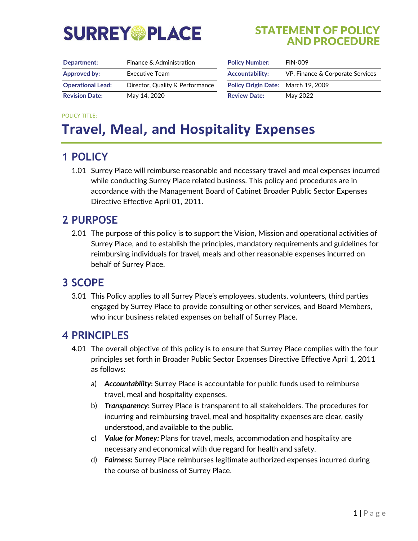# **SURREY®PLACE**

#### STATEMENT OF POLICY AND PROCEDURE

| Department:              | Finance & Administration        | <b>Policy Number:</b>              | <b>FIN-009</b>                   |
|--------------------------|---------------------------------|------------------------------------|----------------------------------|
| Approved by:             | Executive Team                  | <b>Accountability:</b>             | VP, Finance & Corporate Services |
| <b>Operational Lead:</b> | Director, Quality & Performance | Policy Origin Date: March 19, 2009 |                                  |
| <b>Revision Date:</b>    | May 14, 2020                    | <b>Review Date:</b>                | May 2022                         |

| <b>Policy Number:</b>              | <b>FIN-009</b>                   |  |
|------------------------------------|----------------------------------|--|
| <b>Accountability:</b>             | VP, Finance & Corporate Services |  |
| Policy Origin Date: March 19, 2009 |                                  |  |
| <b>Review Date:</b>                | May 2022                         |  |

#### POLICY TITLE:

# **Travel, Meal, and Hospitality Expenses**

### **1 POLICY**

1.01 Surrey Place will reimburse reasonable and necessary travel and meal expenses incurred while conducting Surrey Place related business. This policy and procedures are in accordance with the Management Board of Cabinet Broader Public Sector Expenses Directive Effective April 01, 2011.

#### **2 PURPOSE**

2.01 The purpose of this policy is to support the Vision, Mission and operational activities of Surrey Place, and to establish the principles, mandatory requirements and guidelines for reimbursing individuals for travel, meals and other reasonable expenses incurred on behalf of Surrey Place.

#### **3 SCOPE**

3.01 This Policy applies to all Surrey Place's employees, students, volunteers, third parties engaged by Surrey Place to provide consulting or other services, and Board Members, who incur business related expenses on behalf of Surrey Place.

#### **4 PRINCIPLES**

- 4.01 The overall objective of this policy is to ensure that Surrey Place complies with the four principles set forth in Broader Public Sector Expenses Directive Effective April 1, 2011 as follows:
	- a) *Accountability***:** Surrey Place is accountable for public funds used to reimburse travel, meal and hospitality expenses.
	- b) *Transparency***:** Surrey Place is transparent to all stakeholders. The procedures for incurring and reimbursing travel, meal and hospitality expenses are clear, easily understood, and available to the public.
	- c) *Value for Money:* Plans for travel, meals, accommodation and hospitality are necessary and economical with due regard for health and safety.
	- d) *Fairness***:** Surrey Place reimburses legitimate authorized expenses incurred during the course of business of Surrey Place.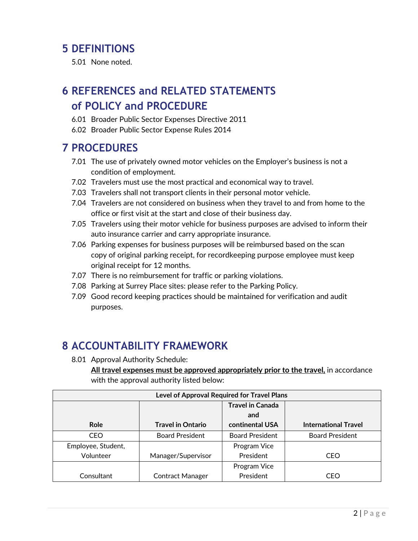#### **5 DEFINITIONS**

5.01 None noted.

# **6 REFERENCES and RELATED STATEMENTS of POLICY and PROCEDURE**

- 6.01 Broader Public Sector Expenses Directive 2011
- 6.02 Broader Public Sector Expense Rules 2014

#### **7 PROCEDURES**

- 7.01 The use of privately owned motor vehicles on the Employer's business is not a condition of employment.
- 7.02 Travelers must use the most practical and economical way to travel.
- 7.03 Travelers shall not transport clients in their personal motor vehicle.
- 7.04 Travelers are not considered on business when they travel to and from home to the office or first visit at the start and close of their business day.
- 7.05 Travelers using their motor vehicle for business purposes are advised to inform their auto insurance carrier and carry appropriate insurance.
- 7.06 Parking expenses for business purposes will be reimbursed based on the scan copy of original parking receipt, for recordkeeping purpose employee must keep original receipt for 12 months.
- 7.07 There is no reimbursement for traffic or parking violations.
- 7.08 Parking at Surrey Place sites: please refer to the Parking Policy.
- 7.09 Good record keeping practices should be maintained for verification and audit purposes.

# **8 ACCOUNTABILITY FRAMEWORK**

8.01 Approval Authority Schedule:

**All travel expenses must be approved appropriately prior to the travel,** in accordance with the approval authority listed below:

| Level of Approval Required for Travel Plans |                          |                         |                             |  |
|---------------------------------------------|--------------------------|-------------------------|-----------------------------|--|
|                                             |                          | <b>Travel in Canada</b> |                             |  |
|                                             |                          | and                     |                             |  |
| <b>Role</b>                                 | <b>Travel in Ontario</b> | continental USA         | <b>International Travel</b> |  |
| <b>CEO</b>                                  | <b>Board President</b>   | <b>Board President</b>  | <b>Board President</b>      |  |
| Employee, Student,                          |                          | Program Vice            |                             |  |
| Volunteer                                   | Manager/Supervisor       | President               | CEO                         |  |
|                                             |                          | Program Vice            |                             |  |
| Consultant                                  | <b>Contract Manager</b>  | President               | CEO                         |  |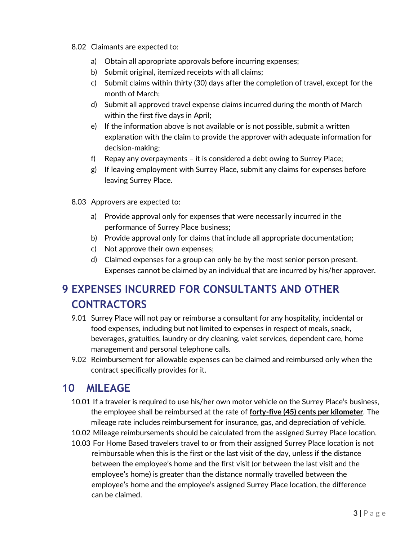- 8.02 Claimants are expected to:
	- a) Obtain all appropriate approvals before incurring expenses;
	- b) Submit original, itemized receipts with all claims;
	- c) Submit claims within thirty (30) days after the completion of travel, except for the month of March;
	- d) Submit all approved travel expense claims incurred during the month of March within the first five days in April;
	- e) If the information above is not available or is not possible, submit a written explanation with the claim to provide the approver with adequate information for decision-making;
	- f) Repay any overpayments it is considered a debt owing to Surrey Place;
	- g) If leaving employment with Surrey Place, submit any claims for expenses before leaving Surrey Place.
- 8.03 Approvers are expected to:
	- a) Provide approval only for expenses that were necessarily incurred in the performance of Surrey Place business;
	- b) Provide approval only for claims that include all appropriate documentation;
	- c) Not approve their own expenses;
	- d) Claimed expenses for a group can only be by the most senior person present. Expenses cannot be claimed by an individual that are incurred by his/her approver.

# **9 EXPENSES INCURRED FOR CONSULTANTS AND OTHER CONTRACTORS**

- 9.01 Surrey Place will not pay or reimburse a consultant for any hospitality, incidental or food expenses, including but not limited to expenses in respect of meals, snack, beverages, gratuities, laundry or dry cleaning, valet services, dependent care, home management and personal telephone calls.
- 9.02 Reimbursement for allowable expenses can be claimed and reimbursed only when the contract specifically provides for it.

# **10 MILEAGE**

- 10.01 If a traveler is required to use his/her own motor vehicle on the Surrey Place's business, the employee shall be reimbursed at the rate of **forty-five (45) cents per kilometer**. The mileage rate includes reimbursement for insurance, gas, and depreciation of vehicle.
- 10.02 Mileage reimbursements should be calculated from the assigned Surrey Place location.
- 10.03 For Home Based travelers travel to or from their assigned Surrey Place location is not reimbursable when this is the first or the last visit of the day, unless if the distance between the employee's home and the first visit (or between the last visit and the employee's home) is greater than the distance normally travelled between the employee's home and the employee's assigned Surrey Place location, the difference can be claimed.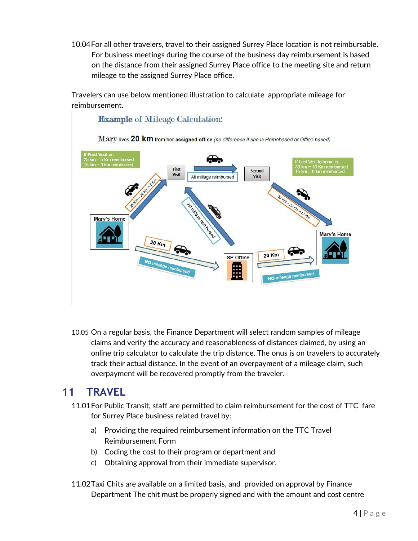10.04For all other travelers, travel to their assigned Surrey Place location is not reimbursable. For business meetings during the course of the business day reimbursement is based on the distance from their assigned Surrey Place office to the meeting site and return mileage to the assigned Surrey Place office.

Travelers can use below mentioned illustration to calculate appropriate mileage for reimbursement.



10.05 On a regular basis, the Finance Department will select random samples of mileage claims and verify the accuracy and reasonableness of distances claimed, by using an online trip calculator to calculate the trip distance. The onus is on travelers to accurately track their actual distance. In the event of an overpayment of a mileage claim, such overpayment will be recovered promptly from the traveler.

#### **11 TRAVEL**

- 11.01For Public Transit, staff are permitted to claim reimbursement for the cost of TTC fare for Surrey Place business related travel by:
	- a) Providing the required reimbursement information on the TTC Travel Reimbursement Form
	- b) Coding the cost to their program or department and
	- c) Obtaining approval from their immediate supervisor.
- 11.02Taxi Chits are available on a limited basis, and provided on approval by Finance Department The chit must be properly signed and with the amount and cost centre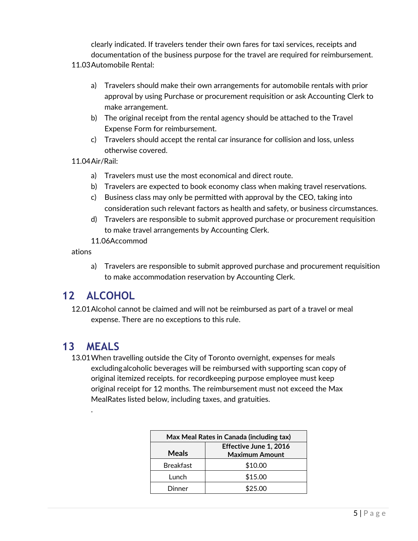clearly indicated. If travelers tender their own fares for taxi services, receipts and documentation of the business purpose for the travel are required for reimbursement.

#### 11.03Automobile Rental:

- a) Travelers should make their own arrangements for automobile rentals with prior approval by using Purchase or procurement requisition or ask Accounting Clerk to make arrangement.
- b) The original receipt from the rental agency should be attached to the Travel Expense Form for reimbursement.
- c) Travelers should accept the rental car insurance for collision and loss, unless otherwise covered.
- 11.04Air/Rail:
	- a) Travelers must use the most economical and direct route.
	- b) Travelers are expected to book economy class when making travel reservations.
	- c) Business class may only be permitted with approval by the CEO, taking into consideration such relevant factors as health and safety, or business circumstances.
	- d) Travelers are responsible to submit approved purchase or procurement requisition to make travel arrangements by Accounting Clerk.
	- 11.06Accommod

ations

a) Travelers are responsible to submit approved purchase and procurement requisition to make accommodation reservation by Accounting Clerk.

# **12 ALCOHOL**

12.01Alcohol cannot be claimed and will not be reimbursed as part of a travel or meal expense. There are no exceptions to this rule.

#### **13 MEALS**

.

13.01When travelling outside the City of Toronto overnight, expenses for meals excluding alcoholic beverages will be reimbursed with supporting scan copy of original itemized receipts. for recordkeeping purpose employee must keep original receipt for 12 months. The reimbursement must not exceed the Max MealRates listed below, including taxes, and gratuities.

| Max Meal Rates in Canada (including tax) |                                                 |  |
|------------------------------------------|-------------------------------------------------|--|
| <b>Meals</b>                             | Effective June 1, 2016<br><b>Maximum Amount</b> |  |
| <b>Breakfast</b>                         | \$10.00                                         |  |
| Lunch                                    | \$15.00                                         |  |
| Dinner                                   | \$25.00                                         |  |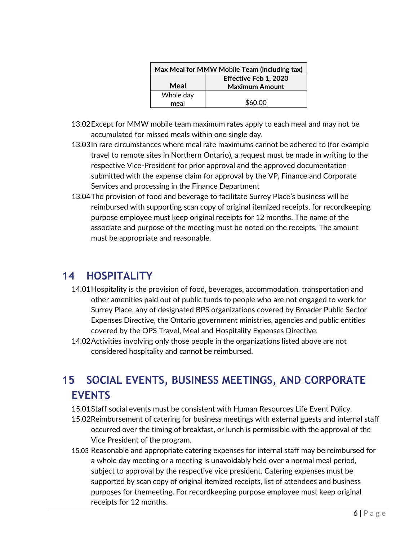| Max Meal for MMW Mobile Team (including tax) |                                                |  |
|----------------------------------------------|------------------------------------------------|--|
| Meal                                         | Effective Feb 1, 2020<br><b>Maximum Amount</b> |  |
| Whole day                                    |                                                |  |
| meal                                         | \$60.00                                        |  |

- 13.02Except for MMW mobile team maximum rates apply to each meal and may not be accumulated for missed meals within one single day.
- 13.03In rare circumstances where meal rate maximums cannot be adhered to (for example travel to remote sites in Northern Ontario), a request must be made in writing to the respective Vice-President for prior approval and the approved documentation submitted with the expense claim for approval by the VP, Finance and Corporate Services and processing in the Finance Department
- 13.04The provision of food and beverage to facilitate Surrey Place's business will be reimbursed with supporting scan copy of original itemized receipts, for recordkeeping purpose employee must keep original receipts for 12 months. The name of the associate and purpose of the meeting must be noted on the receipts. The amount must be appropriate and reasonable.

### **14 HOSPITALITY**

- 14.01Hospitality is the provision of food, beverages, accommodation, transportation and other amenities paid out of public funds to people who are not engaged to work for Surrey Place, any of designated BPS organizations covered by Broader Public Sector Expenses Directive, the Ontario government ministries, agencies and public entities covered by the OPS Travel, Meal and Hospitality Expenses Directive.
- 14.02Activities involving only those people in the organizations listed above are not considered hospitality and cannot be reimbursed.

# **15 SOCIAL EVENTS, BUSINESS MEETINGS, AND CORPORATE EVENTS**

- 15.01Staff social events must be consistent with Human Resources Life Event Policy.
- 15.02Reimbursement of catering for business meetings with external guests and internal staff occurred over the timing of breakfast, or lunch is permissible with the approval of the Vice President of the program.
- 15.03 Reasonable and appropriate catering expenses for internal staff may be reimbursed for a whole day meeting or a meeting is unavoidably held over a normal meal period, subject to approval by the respective vice president. Catering expenses must be supported by scan copy of original itemized receipts, list of attendees and business purposes for the meeting. For recordkeeping purpose employee must keep original receipts for 12 months.